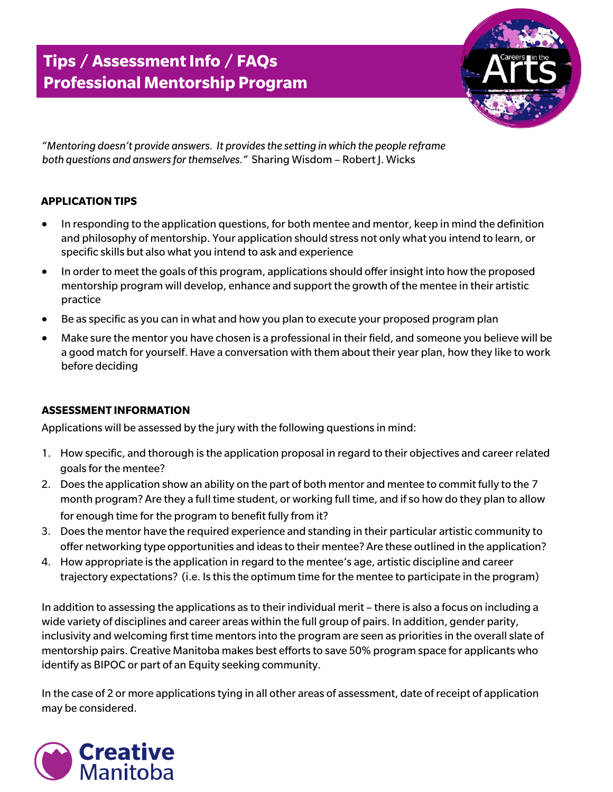# **Tips / Assessment Info / FAQs Professional Mentorship Program**



*"Mentoring doesn't provide answers. It provides the setting in which the people reframe both questions and answers for themselves."* Sharing Wisdom – Robert J. Wicks

# **APPLICATION TIPS**

- In responding to the application questions, for both mentee and mentor, keep in mind the definition and philosophy of mentorship. Your application should stress not only what you intend to learn, or specific skills but also what you intend to ask and experience
- In order to meet the goals of this program, applications should offer insight into how the proposed mentorship program will develop, enhance and support the growth of the mentee in their artistic practice
- Be as specific as you can in what and how you plan to execute your proposed program plan
- Make sure the mentor you have chosen is a professional in their field, and someone you believe will be a good match for yourself. Have a conversation with them about their year plan, how they like to work before deciding

# **ASSESSMENT INFORMATION**

Applications will be assessed by the jury with the following questions in mind:

- 1. How specific, and thorough is the application proposal in regard to their objectives and career related goals for the mentee?
- 2. Does the application show an ability on the part of both mentor and mentee to commit fully to the 7 month program? Are they a full time student, or working full time, and if so how do they plan to allow for enough time for the program to benefit fully from it?
- 3. Does the m[entor have the required experience and stand](http://www.artofmentoring.net/what-is-mentoring/)ing in their particular artistic community to offer networking type opportunities and ideas to their mentee? Are these outlined in the application?
- 4. How appropriate is the application in regard to the mentee's age, artistic discipline and career trajectory expectations? (i.e. Is this the optimum time for the mentee to participate in the program)

In addition to assessing the applications as to their individual merit – there is also a focus on including a wide variety of disciplines and career areas within the full group of pairs. In addition, gender parity, inclusivity and welcoming first time mentors into the program are seen as priorities in the overall slate of mentorship pairs. Creative Manitoba makes best efforts to save 50% program space for applicants who identify as BIPOC or part of an Equity seeking community.

In the case of 2 or more applications tying in all other areas of assessment, date of receipt of application may be considered.